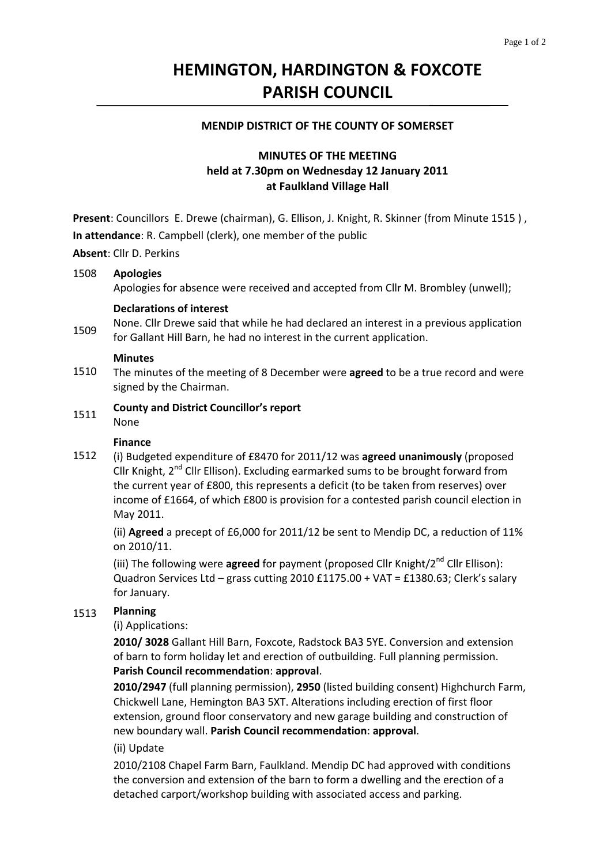# **HEMINGTON, HARDINGTON & FOXCOTE PARISH COUNCIL**

### **MENDIP DISTRICT OF THE COUNTY OF SOMERSET**

# **MINUTES OF THE MEETING held at 7.30pm on Wednesday 12 January 2011 at Faulkland Village Hall**

**Present**: Councillors E. Drewe (chairman), G. Ellison, J. Knight, R. Skinner (from Minute 1515 ) , **In attendance**: R. Campbell (clerk), one member of the public

**Absent**: Cllr D. Perkins

#### 1508 **Apologies**

Apologies for absence were received and accepted from Cllr M. Brombley (unwell);

### **Declarations of interest**

1509 None. Cllr Drewe said that while he had declared an interest in a previous application for Gallant Hill Barn, he had no interest in the current application.

### **Minutes**

1510 The minutes of the meeting of 8 December were **agreed** to be a true record and were signed by the Chairman.

#### 1511 **County and District Councillor's report**

None

### **Finance**

1512 (i) Budgeted expenditure of £8470 for 2011/12 was **agreed unanimously** (proposed Cllr Knight,  $2^{nd}$  Cllr Ellison). Excluding earmarked sums to be brought forward from the current year of £800, this represents a deficit (to be taken from reserves) over income of £1664, of which £800 is provision for a contested parish council election in May 2011.

(ii) **Agreed** a precept of £6,000 for 2011/12 be sent to Mendip DC, a reduction of 11% on 2010/11.

(iii) The following were **agreed** for payment (proposed Cllr Knight/2<sup>nd</sup> Cllr Ellison): Quadron Services Ltd – grass cutting 2010 £1175.00 + VAT = £1380.63; Clerk's salary for January.

# 1513 **Planning**

(i) Applications:

**2010/ 3028** Gallant Hill Barn, Foxcote, Radstock BA3 5YE. Conversion and extension of barn to form holiday let and erection of outbuilding. Full planning permission. **Parish Council recommendation**: **approval**.

**2010/2947** (full planning permission), **2950** (listed building consent) Highchurch Farm, Chickwell Lane, Hemington BA3 5XT. Alterations including erection of first floor extension, ground floor conservatory and new garage building and construction of new boundary wall. **Parish Council recommendation**: **approval**.

(ii) Update

2010/2108 Chapel Farm Barn, Faulkland. Mendip DC had approved with conditions the conversion and extension of the barn to form a dwelling and the erection of a detached carport/workshop building with associated access and parking.